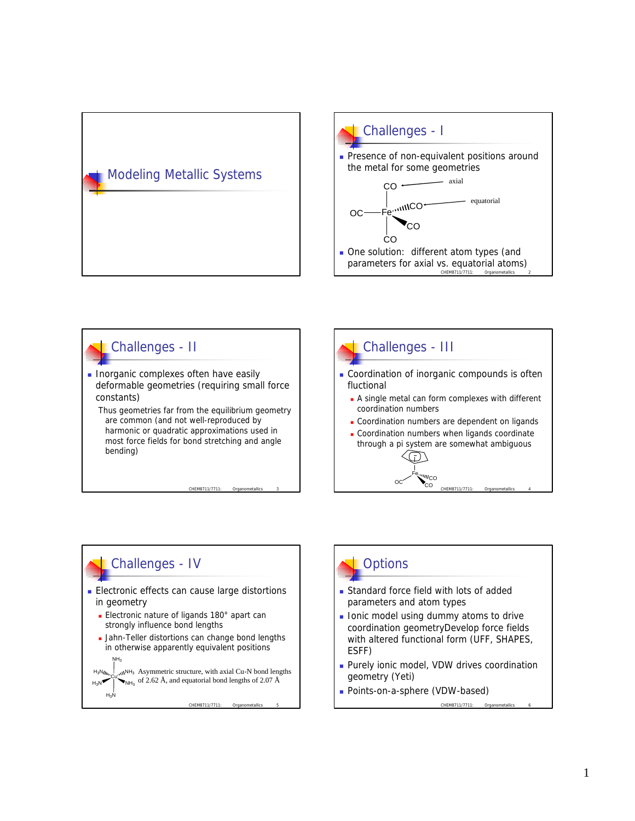









- **Standard force field with lots of added** parameters and atom types
- **n** Ionic model using dummy atoms to drive coordination geometryDevelop force fields with altered functional form (UFF, SHAPES, ESFF)
- **Purely ionic model, VDW drives coordination** geometry (Yeti)
- **Points-on-a-sphere (VDW-based)**

CHEM8711/7711: Organometallic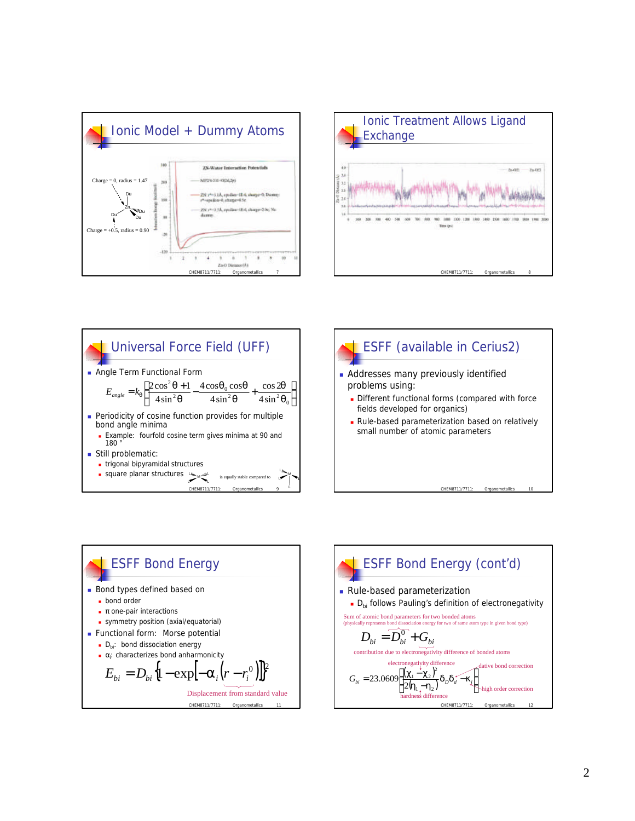